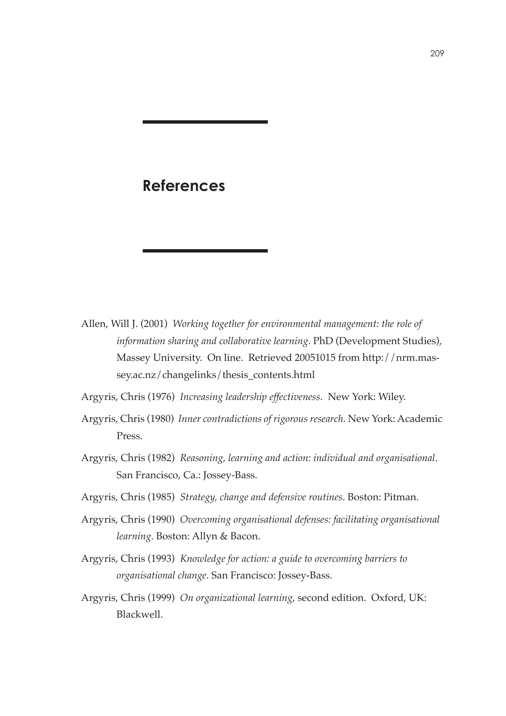## **References**

- Allen, Will J. (2001) *Working together for environmental management: the role of information sharing and collaborative learning*. PhD (Development Studies), Massey University. On line. Retrieved 20051015 from http://nrm.massey.ac.nz/changelinks/thesis\_contents.html
- Argyris, Chris (1976) *Increasing leadership effectiveness*. New York: Wiley.
- Argyris, Chris (1980) *Inner contradictions of rigorous research*. New York: Academic Press.
- Argyris, Chris (1982) *Reasoning, learning and action: individual and organisational*. San Francisco, Ca.: Jossey-Bass.
- Argyris, Chris (1985) *Strategy, change and defensive routines*. Boston: Pitman.
- Argyris, Chris (1990) *Overcoming organisational defenses: facilitating organisational learning*. Boston: Allyn & Bacon.
- Argyris, Chris (1993) *Knowledge for action: a guide to overcoming barriers to organisational change*. San Francisco: Jossey-Bass.
- Argyris, Chris (1999) *On organizational learning*, second edition. Oxford, UK: Blackwell.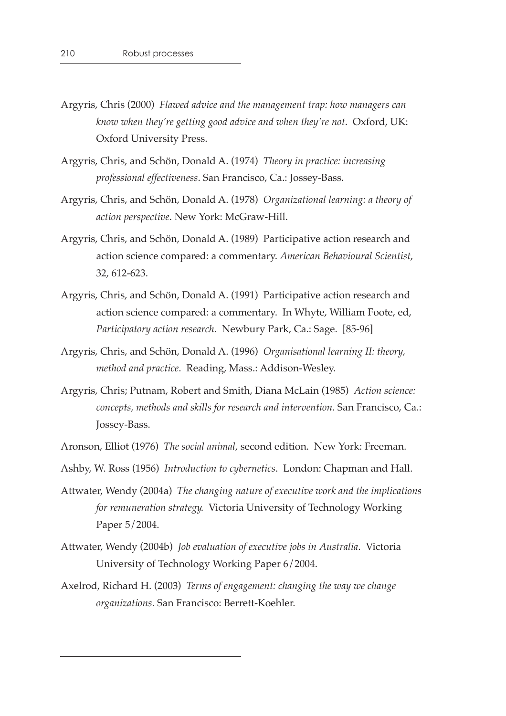- Argyris, Chris (2000) *Flawed advice and the management trap: how managers can know when they're getting good advice and when they're not.* Oxford, UK: Oxford University Press.
- Argyris, Chris, and Schön, Donald A. (1974) *Theory in practice: increasing professional effectiveness*. San Francisco, Ca.: Jossey-Bass.
- Argyris, Chris, and Schön, Donald A. (1978) *Organizational learning: a theory of action perspective*. New York: McGraw-Hill.
- Argyris, Chris, and Schön, Donald A. (1989) Participative action research and action science compared: a commentary. *American Behavioural Scientist*, 32, 612-623.
- Argyris, Chris, and Schön, Donald A. (1991) Participative action research and action science compared: a commentary. In Whyte, William Foote, ed, *Participatory action research*. Newbury Park, Ca.: Sage. [85-96]
- Argyris, Chris, and Schön, Donald A. (1996) *Organisational learning II: theory, method and practice*. Reading, Mass.: Addison-Wesley.
- Argyris, Chris; Putnam, Robert and Smith, Diana McLain (1985) *Action science: concepts, methods and skills for research and intervention*. San Francisco, Ca.: Jossey-Bass.
- Aronson, Elliot (1976) *The social animal*, second edition. New York: Freeman.
- Ashby, W. Ross (1956) *Introduction to cybernetics*. London: Chapman and Hall.
- Attwater, Wendy (2004a) *The changing nature of executive work and the implications for remuneration strategy*. Victoria University of Technology Working Paper 5/2004.
- Attwater, Wendy (2004b) *Job evaluation of executive jobs in Australia*. Victoria University of Technology Working Paper 6/2004.
- Axelrod, Richard H. (2003) *Terms of engagement: changing the way we change organizations*. San Francisco: Berrett-Koehler.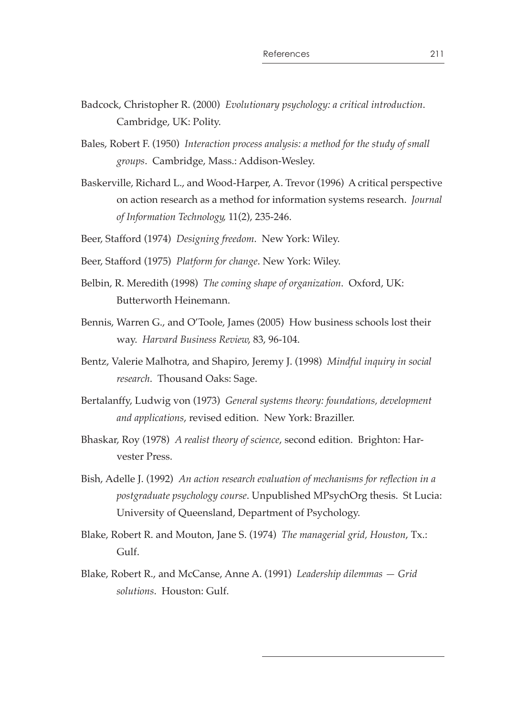- Badcock, Christopher R. (2000) *Evolutionary psychology: a critical introduction*. Cambridge, UK: Polity.
- Bales, Robert F. (1950) *Interaction process analysis: a method for the study of small groups*. Cambridge, Mass.: Addison-Wesley.
- Baskerville, Richard L., and Wood-Harper, A. Trevor (1996) A critical perspective on action research as a method for information systems research. *Journal of Information Technology*, 11(2), 235-246.
- Beer, Stafford (1974) *Designing freedom*. New York: Wiley.
- Beer, Stafford (1975) *Platform for change*. New York: Wiley.
- Belbin, R. Meredith (1998) *The coming shape of organization*. Oxford, UK: Butterworth Heinemann.
- Bennis, Warren G., and O'Toole, James (2005) How business schools lost their way. *Harvard Business Review*, 83, 96-104.
- Bentz, Valerie Malhotra, and Shapiro, Jeremy J. (1998) *Mindful inquiry in social research*. Thousand Oaks: Sage.
- Bertalanffy, Ludwig von (1973) *General systems theory: foundations, development and applications*, revised edition. New York: Braziller.
- Bhaskar, Roy (1978) *A realist theory of science*, second edition. Brighton: Harvester Press.
- Bish, Adelle J. (1992) An action research evaluation of mechanisms for reflection in a *postgraduate psychology course*. Unpublished MPsychOrg thesis. St Lucia: University of Queensland, Department of Psychology.
- Blake, Robert R. and Mouton, Jane S. (1974) *The managerial grid, Houston*, Tx.: Gulf.
- Blake, Robert R., and McCanse, Anne A. (1991) Leadership dilemmas Grid *solutions*. Houston: Gulf.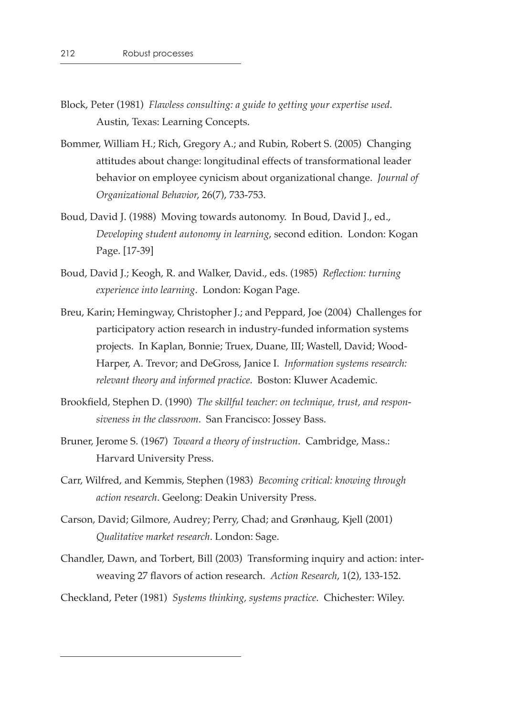- Block, Peter (1981) *Flawless consulting: a guide to getting your expertise used*. Austin, Texas: Learning Concepts.
- Bommer, William H.; Rich, Gregory A.; and Rubin, Robert S. (2005) Changing attitudes about change: longitudinal effects of transformational leader behavior on employee cynicism about organizational change. *Journal of Organizational Behavior*, 26(7), 733-753.
- Boud, David J. (1988) Moving towards autonomy. In Boud, David J., ed., *Developing student autonomy in learning*, second edition. London: Kogan Page. [17-39]
- Boud, David J.; Keogh, R. and Walker, David., eds. (1985) *Reflection: turning experience into learning*. London: Kogan Page.
- Breu, Karin; Hemingway, Christopher J.; and Peppard, Joe (2004) Challenges for participatory action research in industry-funded information systems projects. In Kaplan, Bonnie; Truex, Duane, III; Wastell, David; Wood-Harper, A. Trevor; and DeGross, Janice I. *Information systems research: relevant theory and informed practice*. Boston: Kluwer Academic.
- Brookfield, Stephen D. (1990) The skillful teacher: on technique, trust, and respon*siveness in the classroom*. San Francisco: Jossey Bass.
- Bruner, Jerome S. (1967) *Toward a theory of instruction*. Cambridge, Mass.: Harvard University Press.
- Carr, Wilfred, and Kemmis, Stephen (1983) *Becoming critical: knowing through action research*. Geelong: Deakin University Press.
- Carson, David; Gilmore, Audrey; Perry, Chad; and Grønhaug, Kjell (2001) *Qualitative market research*. London: Sage.
- Chandler, Dawn, and Torbert, Bill (2003) Transforming inquiry and action: interweaving 27 flavors of action research. Action Research, 1(2), 133-152.
- Checkland, Peter (1981) *Systems thinking, systems practice*. Chichester: Wiley.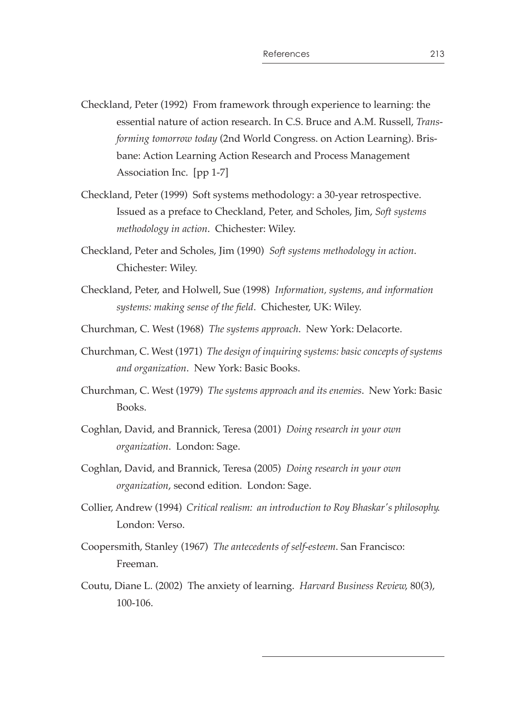- Checkland, Peter (1992) From framework through experience to learning: the essential nature of action research. In C.S. Bruce and A.M. Russell, *Transforming tomorrow today* (2nd World Congress. on Action Learning). Brisbane: Action Learning Action Research and Process Management Association Inc. [pp 1-7]
- Checkland, Peter (1999) Soft systems methodology: a 30-year retrospective. Issued as a preface to Checkland, Peter, and Scholes, Jim, *Soft systems methodology in action*. Chichester: Wiley.
- Checkland, Peter and Scholes, Jim (1990) *Soft systems methodology in action*. Chichester: Wiley.
- Checkland, Peter, and Holwell, Sue (1998) *Information, systems, and information*  systems: making sense of the field. Chichester, UK: Wiley.
- Churchman, C. West (1968) *The systems approach*. New York: Delacorte.
- Churchman, C. West (1971) *The design of inquiring systems: basic concepts of systems and organization*. New York: Basic Books.
- Churchman, C. West (1979) *The systems approach and its enemies*. New York: Basic Books.
- Coghlan, David, and Brannick, Teresa (2001) *Doing research in your own organization*. London: Sage.
- Coghlan, David, and Brannick, Teresa (2005) *Doing research in your own organization*, second edition. London: Sage.
- Collier, Andrew (1994) *Critical realism: an introduction to Roy Bhaskar's philosophy*. London: Verso.
- Coopersmith, Stanley (1967) *The antecedents of self-esteem*. San Francisco: Freeman.
- Coutu, Diane L. (2002) The anxiety of learning. *Harvard Business Review*, 80(3), 100-106.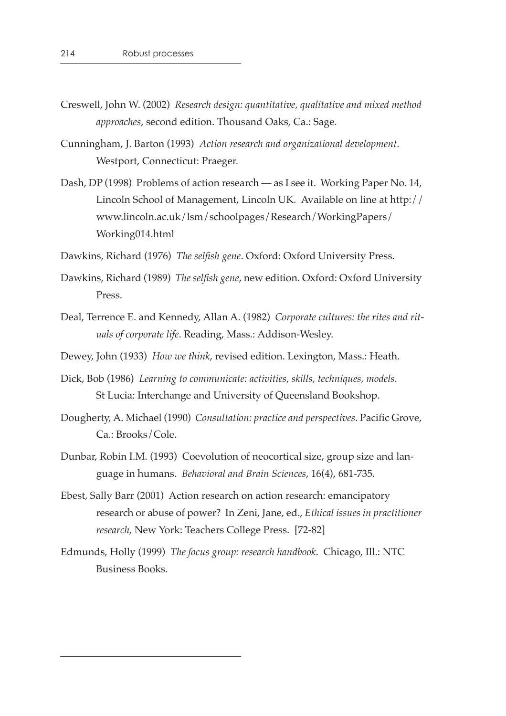- Creswell, John W. (2002) *Research design: quantitative, qualitative and mixed method approaches*, second edition. Thousand Oaks, Ca.: Sage.
- Cunningham, J. Barton (1993) *Action research and organizational development*. Westport, Connecticut: Praeger.
- Dash, DP (1998) Problems of action research as I see it. Working Paper No. 14, Lincoln School of Management, Lincoln UK. Available on line at http:// www.lincoln.ac.uk/lsm/schoolpages/Research/WorkingPapers/ Working014.html
- Dawkins, Richard (1976) *The selfish gene*. Oxford: Oxford University Press.
- Dawkins, Richard (1989) *The selfish gene*, new edition. Oxford: Oxford University Press.
- Deal, Terrence E. and Kennedy, Allan A. (1982) *Corporate cultures: the rites and rituals of corporate life*. Reading, Mass.: Addison-Wesley.
- Dewey, John (1933) *How we think*, revised edition. Lexington, Mass.: Heath.
- Dick, Bob (1986) *Learning to communicate: activities, skills, techniques, models*. St Lucia: Interchange and University of Queensland Bookshop.
- Dougherty, A. Michael (1990) *Consultation: practice and perspectives*. Pacific Grove, Ca.: Brooks/Cole.
- Dunbar, Robin I.M. (1993) Coevolution of neocortical size, group size and language in humans. *Behavioral and Brain Sciences*, 16(4), 681-735.
- Ebest, Sally Barr (2001) Action research on action research: emancipatory research or abuse of power? In Zeni, Jane, ed., *Ethical issues in practitioner research*, New York: Teachers College Press. [72-82]
- Edmunds, Holly (1999) *The focus group: research handbook*. Chicago, Ill.: NTC Business Books.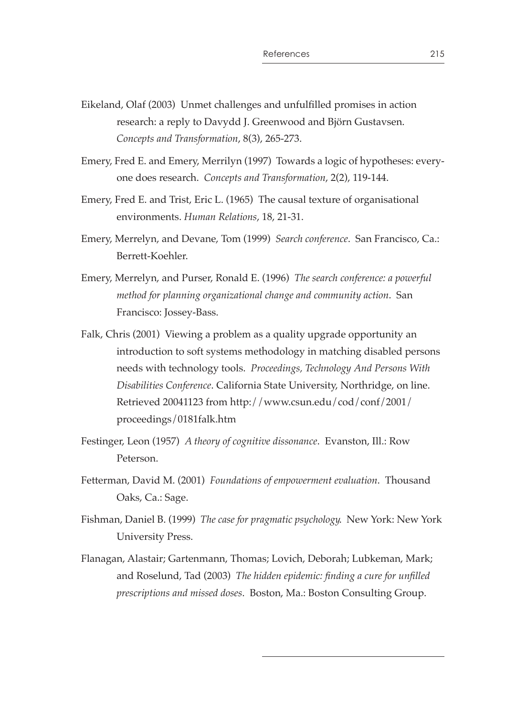- Eikeland, Olaf (2003) Unmet challenges and unfulfilled promises in action research: a reply to Davydd J. Greenwood and Björn Gustavsen. *Concepts and Transformation*, 8(3), 265-273.
- Emery, Fred E. and Emery, Merrilyn (1997) Towards a logic of hypotheses: everyone does research. *Concepts and Transformation*, 2(2), 119-144.
- Emery, Fred E. and Trist, Eric L. (1965) The causal texture of organisational environments. *Human Relations*, 18, 21-31.
- Emery, Merrelyn, and Devane, Tom (1999) *Search conference*. San Francisco, Ca.: Berrett-Koehler.
- Emery, Merrelyn, and Purser, Ronald E. (1996) *The search conference: a powerful method for planning organizational change and community action*. San Francisco: Jossey-Bass.
- Falk, Chris (2001) Viewing a problem as a quality upgrade opportunity an introduction to soft systems methodology in matching disabled persons needs with technology tools. *Proceedings, Technology And Persons With Disabilities Conference*. California State University, Northridge, on line. Retrieved 20041123 from http://www.csun.edu/cod/conf/2001/ proceedings/0181falk.htm
- Festinger, Leon (1957) *A theory of cognitive dissonance*. Evanston, Ill.: Row Peterson.
- Fetterman, David M. (2001) *Foundations of empowerment evaluation*. Thousand Oaks, Ca.: Sage.
- Fishman, Daniel B. (1999) *The case for pragmatic psychology*. New York: New York University Press.
- Flanagan, Alastair; Gartenmann, Thomas; Lovich, Deborah; Lubkeman, Mark; and Roselund, Tad (2003) *The hidden epidemic: finding a cure for unfilled prescriptions and missed doses*. Boston, Ma.: Boston Consulting Group.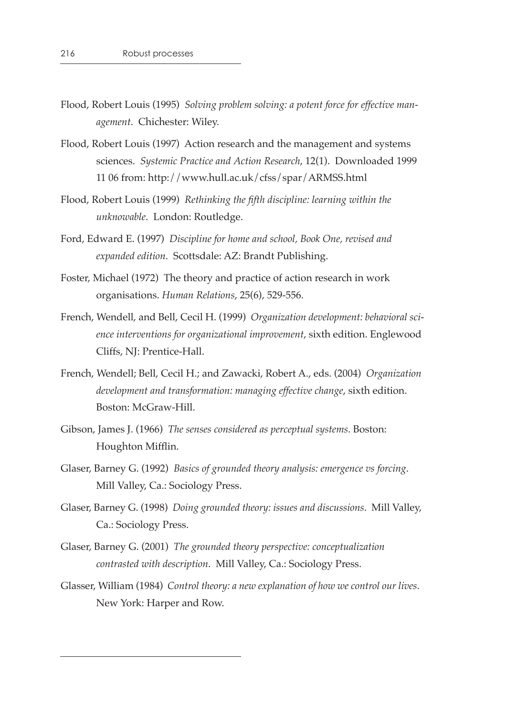- Flood, Robert Louis (1995) *Solving problem solving: a potent force for effective management*. Chichester: Wiley.
- Flood, Robert Louis (1997) Action research and the management and systems sciences. *Systemic Practice and Action Research*, 12(1). Downloaded 1999 11 06 from: http://www.hull.ac.uk/cfss/spar/ARMSS.html
- Flood, Robert Louis (1999) *Rethinking the fth discipline: learning within the unknowable*. London: Routledge.
- Ford, Edward E. (1997) *Discipline for home and school, Book One, revised and expanded edition*. Scottsdale: AZ: Brandt Publishing.
- Foster, Michael (1972) The theory and practice of action research in work organisations. *Human Relations*, 25(6), 529-556.
- French, Wendell, and Bell, Cecil H. (1999) *Organization development: behavioral science interventions for organizational improvement*, sixth edition. Englewood Cliffs, NJ: Prentice-Hall.
- French, Wendell; Bell, Cecil H.; and Zawacki, Robert A., eds. (2004) *Organization development and transformation: managing effective change*, sixth edition. Boston: McGraw-Hill.
- Gibson, James J. (1966) *The senses considered as perceptual systems*. Boston: Houghton Mifflin.
- Glaser, Barney G. (1992) *Basics of grounded theory analysis: emergence vs forcing*. Mill Valley, Ca.: Sociology Press.
- Glaser, Barney G. (1998) *Doing grounded theory: issues and discussions*. Mill Valley, Ca.: Sociology Press.
- Glaser, Barney G. (2001) *The grounded theory perspective: conceptualization contrasted with description*. Mill Valley, Ca.: Sociology Press.
- Glasser, William (1984) *Control theory: a new explanation of how we control our lives*. New York: Harper and Row.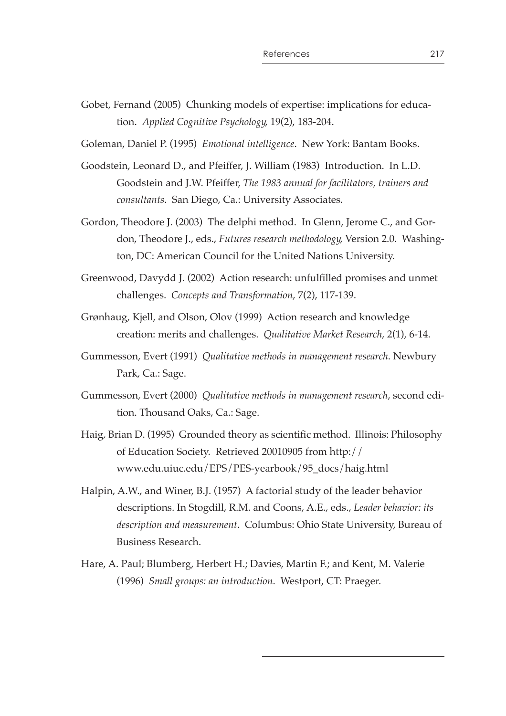Gobet, Fernand (2005) Chunking models of expertise: implications for education. *Applied Cognitive Psychology*, 19(2), 183-204.

Goleman, Daniel P. (1995) *Emotional intelligence*. New York: Bantam Books.

- Goodstein, Leonard D., and Pfeiffer, J. William (1983) Introduction. In L.D. Goodstein and J.W. Pfeiffer, *The 1983 annual for facilitators, trainers and consultants*. San Diego, Ca.: University Associates.
- Gordon, Theodore J. (2003) The delphi method. In Glenn, Jerome C., and Gordon, Theodore J., eds., *Futures research methodology*, Version 2.0. Washington, DC: American Council for the United Nations University.
- Greenwood, Davydd J. (2002) Action research: unfulfilled promises and unmet challenges. *Concepts and Transformation*, 7(2), 117-139.
- Grønhaug, Kjell, and Olson, Olov (1999) Action research and knowledge creation: merits and challenges. *Qualitative Market Research*, 2(1), 6-14.
- Gummesson, Evert (1991) *Qualitative methods in management research*. Newbury Park, Ca.: Sage.
- Gummesson, Evert (2000) *Qualitative methods in management research*, second edition. Thousand Oaks, Ca.: Sage.
- Haig, Brian D. (1995) Grounded theory as scientific method. Illinois: Philosophy of Education Society. Retrieved 20010905 from http:// www.edu.uiuc.edu/EPS/PES-yearbook/95\_docs/haig.html
- Halpin, A.W., and Winer, B.J. (1957) A factorial study of the leader behavior descriptions. In Stogdill, R.M. and Coons, A.E., eds., *Leader behavior: its description and measurement*. Columbus: Ohio State University, Bureau of Business Research.
- Hare, A. Paul; Blumberg, Herbert H.; Davies, Martin F.; and Kent, M. Valerie (1996) *Small groups: an introduction*. Westport, CT: Praeger.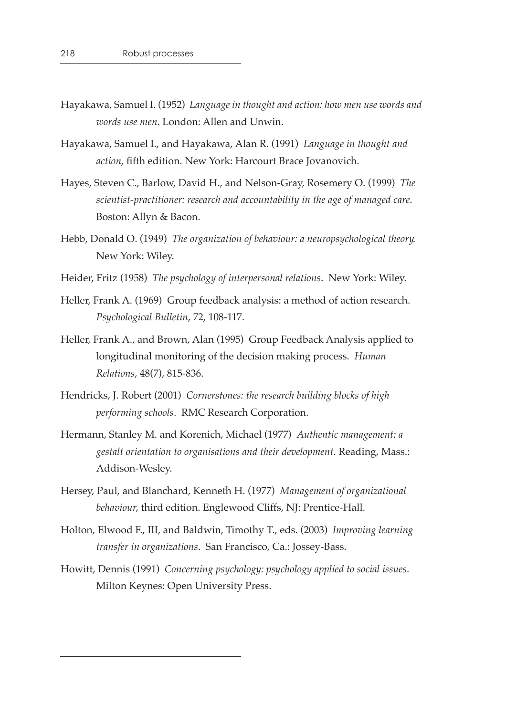- Hayakawa, Samuel I. (1952) *Language in thought and action: how men use words and words use men*. London: Allen and Unwin.
- Hayakawa, Samuel I., and Hayakawa, Alan R. (1991) *Language in thought and*  action, fifth edition. New York: Harcourt Brace Jovanovich.
- Hayes, Steven C., Barlow, David H., and Nelson-Gray, Rosemery O. (1999) *The scientist-practitioner: research and accountability in the age of managed care*. Boston: Allyn & Bacon.
- Hebb, Donald O. (1949) *The organization of behaviour: a neuropsychological theory*. New York: Wiley.
- Heider, Fritz (1958) *The psychology of interpersonal relations*. New York: Wiley.
- Heller, Frank A. (1969) Group feedback analysis: a method of action research. *Psychological Bulletin*, 72, 108-117.
- Heller, Frank A., and Brown, Alan (1995) Group Feedback Analysis applied to longitudinal monitoring of the decision making process. *Human Relations*, 48(7), 815-836.
- Hendricks, J. Robert (2001) *Cornerstones: the research building blocks of high performing schools*. RMC Research Corporation.
- Hermann, Stanley M. and Korenich, Michael (1977) *Authentic management: a gestalt orientation to organisations and their development*. Reading, Mass.: Addison-Wesley.
- Hersey, Paul, and Blanchard, Kenneth H. (1977) *Management of organizational behaviour*, third edition. Englewood Cliffs, NJ: Prentice-Hall.
- Holton, Elwood F., III, and Baldwin, Timothy T., eds. (2003) *Improving learning transfer in organizations*. San Francisco, Ca.: Jossey-Bass.
- Howitt, Dennis (1991) *Concerning psychology: psychology applied to social issues*. Milton Keynes: Open University Press.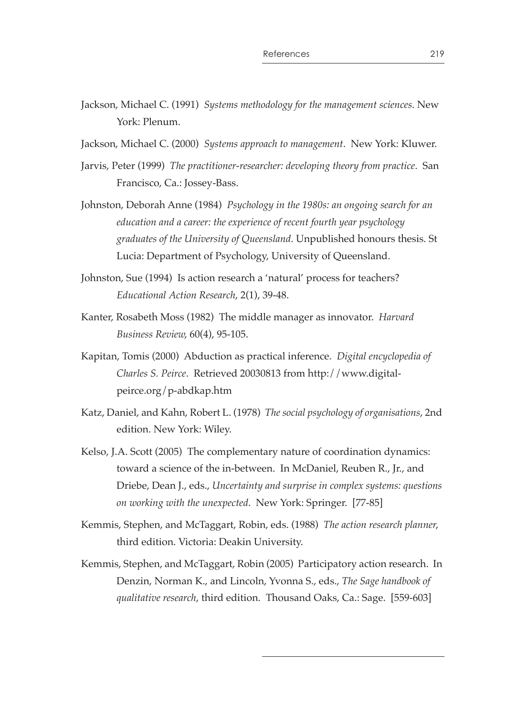- Jackson, Michael C. (1991) *Systems methodology for the management sciences*. New York: Plenum.
- Jackson, Michael C. (2000) *Systems approach to management*. New York: Kluwer.
- Jarvis, Peter (1999) *The practitioner-researcher: developing theory from practice*. San Francisco, Ca.: Jossey-Bass.
- Johnston, Deborah Anne (1984) *Psychology in the 1980s: an ongoing search for an education and a career: the experience of recent fourth year psychology graduates of the University of Queensland*. Unpublished honours thesis. St Lucia: Department of Psychology, University of Queensland.
- Johnston, Sue (1994) Is action research a 'natural' process for teachers? *Educational Action Research*, 2(1), 39-48.
- Kanter, Rosabeth Moss (1982) The middle manager as innovator. *Harvard Business Review*, 60(4), 95-105.
- Kapitan, Tomis (2000) Abduction as practical inference. *Digital encyclopedia of Charles S. Peirce*. Retrieved 20030813 from http://www.digitalpeirce.org/p-abdkap.htm
- Katz, Daniel, and Kahn, Robert L. (1978) *The social psychology of organisations*, 2nd edition. New York: Wiley.
- Kelso, J.A. Scott (2005) The complementary nature of coordination dynamics: toward a science of the in-between. In McDaniel, Reuben R., Jr., and Driebe, Dean J., eds., *Uncertainty and surprise in complex systems: questions on working with the unexpected*. New York: Springer. [77-85]
- Kemmis, Stephen, and McTaggart, Robin, eds. (1988) *The action research planner*, third edition. Victoria: Deakin University.
- Kemmis, Stephen, and McTaggart, Robin (2005) Participatory action research. In Denzin, Norman K., and Lincoln, Yvonna S., eds., *The Sage handbook of qualitative research*, third edition. Thousand Oaks, Ca.: Sage. [559-603]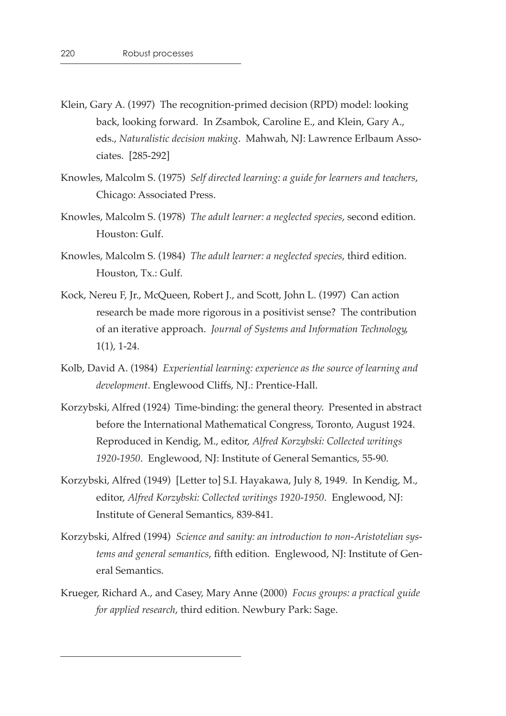- Klein, Gary A. (1997) The recognition-primed decision (RPD) model: looking back, looking forward. In Zsambok, Caroline E., and Klein, Gary A., eds., *Naturalistic decision making*. Mahwah, NJ: Lawrence Erlbaum Associates. [285-292]
- Knowles, Malcolm S. (1975) *Self directed learning: a guide for learners and teachers*, Chicago: Associated Press.
- Knowles, Malcolm S. (1978) *The adult learner: a neglected species*, second edition. Houston: Gulf.
- Knowles, Malcolm S. (1984) *The adult learner: a neglected species*, third edition. Houston, Tx.: Gulf.
- Kock, Nereu F, Jr., McQueen, Robert J., and Scott, John L. (1997) Can action research be made more rigorous in a positivist sense? The contribution of an iterative approach. *Journal of Systems and Information Technology*, 1(1), 1-24.
- Kolb, David A. (1984) *Experiential learning: experience as the source of learning and development*. Englewood Cliffs, NJ.: Prentice-Hall.
- Korzybski, Alfred (1924) Time-binding: the general theory. Presented in abstract before the International Mathematical Congress, Toronto, August 1924. Reproduced in Kendig, M., editor, *Alfred Korzybski: Collected writings 1920-1950*. Englewood, NJ: Institute of General Semantics, 55-90.
- Korzybski, Alfred (1949) [Letter to] S.I. Hayakawa, July 8, 1949. In Kendig, M., editor, *Alfred Korzybski: Collected writings 1920-1950*. Englewood, NJ: Institute of General Semantics, 839-841.
- Korzybski, Alfred (1994) *Science and sanity: an introduction to non-Aristotelian systems and general semantics, fifth edition. Englewood, NJ: Institute of Gen*eral Semantics.
- Krueger, Richard A., and Casey, Mary Anne (2000) *Focus groups: a practical guide for applied research*, third edition. Newbury Park: Sage.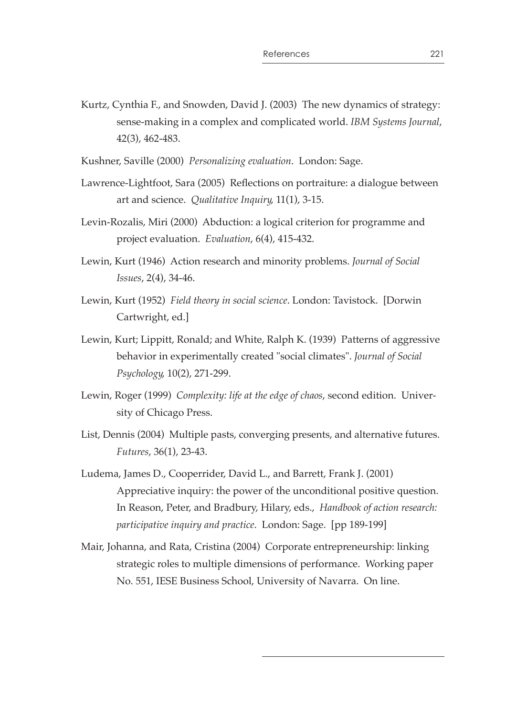Kurtz, Cynthia F., and Snowden, David J. (2003) The new dynamics of strategy: sense-making in a complex and complicated world. *IBM Systems Journal*, 42(3), 462-483.

Kushner, Saville (2000) *Personalizing evaluation*. London: Sage.

- Lawrence-Lightfoot, Sara (2005) Reflections on portraiture: a dialogue between art and science. *Qualitative Inquiry*, 11(1), 3-15.
- Levin-Rozalis, Miri (2000) Abduction: a logical criterion for programme and project evaluation. *Evaluation*, 6(4), 415-432.
- Lewin, Kurt (1946) Action research and minority problems. *Journal of Social Issues*, 2(4), 34-46.
- Lewin, Kurt (1952) *Field theory in social science*. London: Tavistock. [Dorwin Cartwright, ed.]
- Lewin, Kurt; Lippitt, Ronald; and White, Ralph K. (1939) Patterns of aggressive behavior in experimentally created "social climates". *Journal of Social Psychology*, 10(2), 271-299.
- Lewin, Roger (1999) *Complexity: life at the edge of chaos*, second edition. University of Chicago Press.
- List, Dennis (2004) Multiple pasts, converging presents, and alternative futures. *Futures*, 36(1), 23-43.
- Ludema, James D., Cooperrider, David L., and Barrett, Frank J. (2001) Appreciative inquiry: the power of the unconditional positive question. In Reason, Peter, and Bradbury, Hilary, eds., *Handbook of action research: participative inquiry and practice*. London: Sage. [pp 189-199]
- Mair, Johanna, and Rata, Cristina (2004) Corporate entrepreneurship: linking strategic roles to multiple dimensions of performance. Working paper No. 551, IESE Business School, University of Navarra. On line.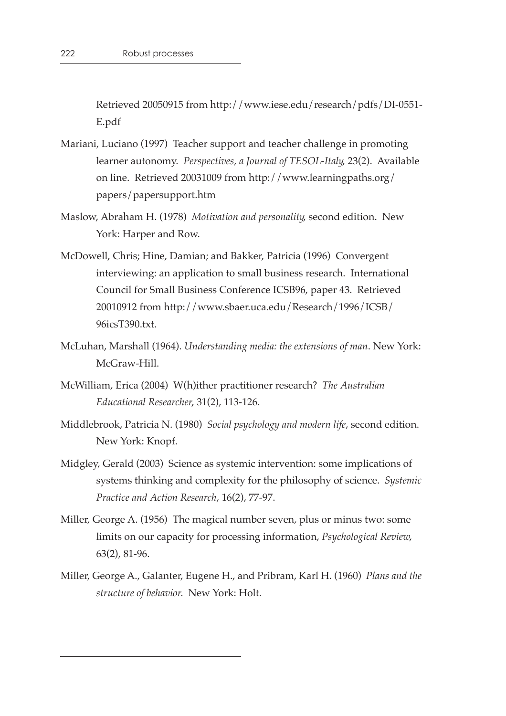Retrieved 20050915 from http://www.iese.edu/research/pdfs/DI-0551- E.pdf

- Mariani, Luciano (1997) Teacher support and teacher challenge in promoting learner autonomy. *Perspectives, a Journal of TESOL-Italy*, 23(2). Available on line. Retrieved 20031009 from http://www.learningpaths.org/ papers/papersupport.htm
- Maslow, Abraham H. (1978) *Motivation and personality*, second edition. New York: Harper and Row.
- McDowell, Chris; Hine, Damian; and Bakker, Patricia (1996) Convergent interviewing: an application to small business research. International Council for Small Business Conference ICSB96, paper 43. Retrieved 20010912 from http://www.sbaer.uca.edu/Research/1996/ICSB/ 96icsT390.txt.
- McLuhan, Marshall (1964). *Understanding media: the extensions of man*. New York: McGraw-Hill.
- McWilliam, Erica (2004) W(h)ither practitioner research? *The Australian Educational Researcher*, 31(2), 113-126.
- Middlebrook, Patricia N. (1980) *Social psychology and modern life*, second edition. New York: Knopf.
- Midgley, Gerald (2003) Science as systemic intervention: some implications of systems thinking and complexity for the philosophy of science. *Systemic Practice and Action Research*, 16(2), 77-97.
- Miller, George A. (1956) The magical number seven, plus or minus two: some limits on our capacity for processing information, *Psychological Review*, 63(2), 81-96.
- Miller, George A., Galanter, Eugene H., and Pribram, Karl H. (1960) *Plans and the structure of behavior*. New York: Holt.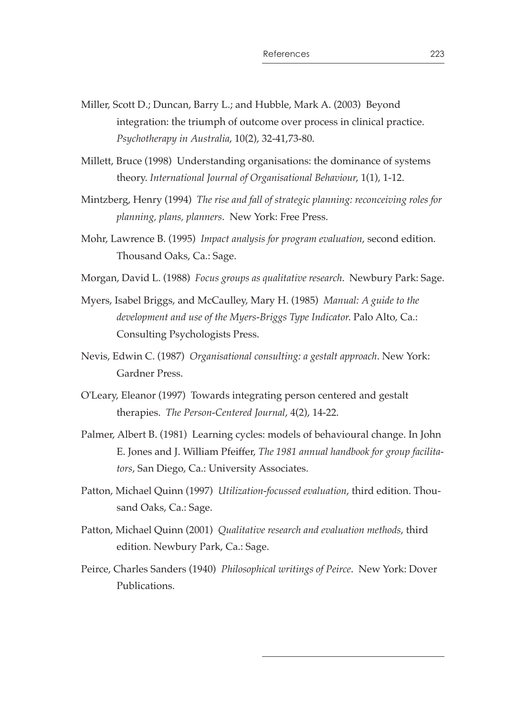- Miller, Scott D.; Duncan, Barry L.; and Hubble, Mark A. (2003) Beyond integration: the triumph of outcome over process in clinical practice. *Psychotherapy in Australia*, 10(2), 32-41,73-80.
- Millett, Bruce (1998) Understanding organisations: the dominance of systems theory. *International Journal of Organisational Behaviour*, 1(1), 1-12.
- Mintzberg, Henry (1994) *The rise and fall of strategic planning: reconceiving roles for planning, plans, planners*. New York: Free Press.
- Mohr, Lawrence B. (1995) *Impact analysis for program evaluation*, second edition. Thousand Oaks, Ca.: Sage.
- Morgan, David L. (1988) *Focus groups as qualitative research*. Newbury Park: Sage.
- Myers, Isabel Briggs, and McCaulley, Mary H. (1985) *Manual: A guide to the development and use of the Myers-Briggs Type Indicator*. Palo Alto, Ca.: Consulting Psychologists Press.
- Nevis, Edwin C. (1987) *Organisational consulting: a gestalt approach*. New York: Gardner Press.
- O'Leary, Eleanor (1997) Towards integrating person centered and gestalt therapies. *The Person-Centered Journal*, 4(2), 14-22.
- Palmer, Albert B. (1981) Learning cycles: models of behavioural change. In John E. Jones and J. William Pfeiffer, *The 1981 annual handbook for group facilitators*, San Diego, Ca.: University Associates.
- Patton, Michael Quinn (1997) *Utilization-focussed evaluation*, third edition. Thousand Oaks, Ca.: Sage.
- Patton, Michael Quinn (2001) *Qualitative research and evaluation methods*, third edition. Newbury Park, Ca.: Sage.
- Peirce, Charles Sanders (1940) *Philosophical writings of Peirce*. New York: Dover Publications.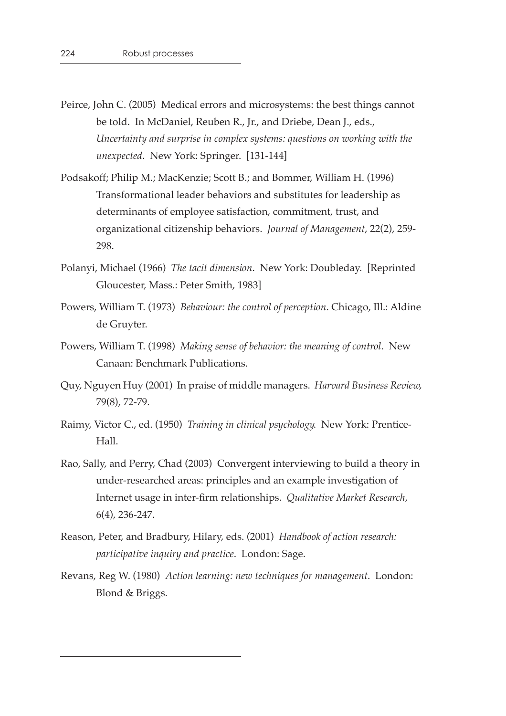- Peirce, John C. (2005) Medical errors and microsystems: the best things cannot be told. In McDaniel, Reuben R., Jr., and Driebe, Dean J., eds., *Uncertainty and surprise in complex systems: questions on working with the unexpected*. New York: Springer. [131-144]
- Podsakoff; Philip M.; MacKenzie; Scott B.; and Bommer, William H. (1996) Transformational leader behaviors and substitutes for leadership as determinants of employee satisfaction, commitment, trust, and organizational citizenship behaviors. *Journal of Management*, 22(2), 259- 298.
- Polanyi, Michael (1966) *The tacit dimension*. New York: Doubleday. [Reprinted Gloucester, Mass.: Peter Smith, 1983]
- Powers, William T. (1973) *Behaviour: the control of perception*. Chicago, Ill.: Aldine de Gruyter.
- Powers, William T. (1998) *Making sense of behavior: the meaning of control*. New Canaan: Benchmark Publications.
- Quy, Nguyen Huy (2001) In praise of middle managers. *Harvard Business Review*, 79(8), 72-79.
- Raimy, Victor C., ed. (1950) *Training in clinical psychology*. New York: Prentice-Hall.
- Rao, Sally, and Perry, Chad (2003) Convergent interviewing to build a theory in under-researched areas: principles and an example investigation of Internet usage in inter-firm relationships. Qualitative Market Research, 6(4), 236-247.
- Reason, Peter, and Bradbury, Hilary, eds. (2001) *Handbook of action research: participative inquiry and practice*. London: Sage.
- Revans, Reg W. (1980) *Action learning: new techniques for management*. London: Blond & Briggs.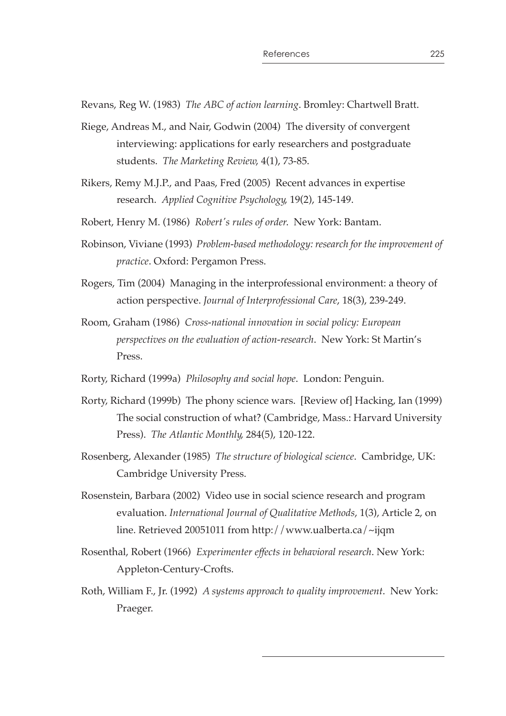Revans, Reg W. (1983) *The ABC of action learning*. Bromley: Chartwell Bratt.

- Riege, Andreas M., and Nair, Godwin (2004) The diversity of convergent interviewing: applications for early researchers and postgraduate students. *The Marketing Review*, 4(1), 73-85.
- Rikers, Remy M.J.P., and Paas, Fred (2005) Recent advances in expertise research. *Applied Cognitive Psychology*, 19(2), 145-149.
- Robert, Henry M. (1986) *Robert's rules of order*. New York: Bantam.
- Robinson, Viviane (1993) *Problem-based methodology: research for the improvement of practice*. Oxford: Pergamon Press.
- Rogers, Tim (2004) Managing in the interprofessional environment: a theory of action perspective. *Journal of Interprofessional Care*, 18(3), 239-249.
- Room, Graham (1986) *Cross-national innovation in social policy: European perspectives on the evaluation of action-research.* New York: St Martin's Press.
- Rorty, Richard (1999a) *Philosophy and social hope*. London: Penguin.
- Rorty, Richard (1999b) The phony science wars. [Review of] Hacking, Ian (1999) The social construction of what? (Cambridge, Mass.: Harvard University Press). *The Atlantic Monthly*, 284(5), 120-122.
- Rosenberg, Alexander (1985) *The structure of biological science*. Cambridge, UK: Cambridge University Press.
- Rosenstein, Barbara (2002) Video use in social science research and program evaluation. *International Journal of Qualitative Methods*, 1(3), Article 2, on line. Retrieved 20051011 from http://www.ualberta.ca/~ijqm
- Rosenthal, Robert (1966) *Experimenter effects in behavioral research*. New York: Appleton-Century-Crofts.
- Roth, William F., Jr. (1992) *A systems approach to quality improvement*. New York: Praeger.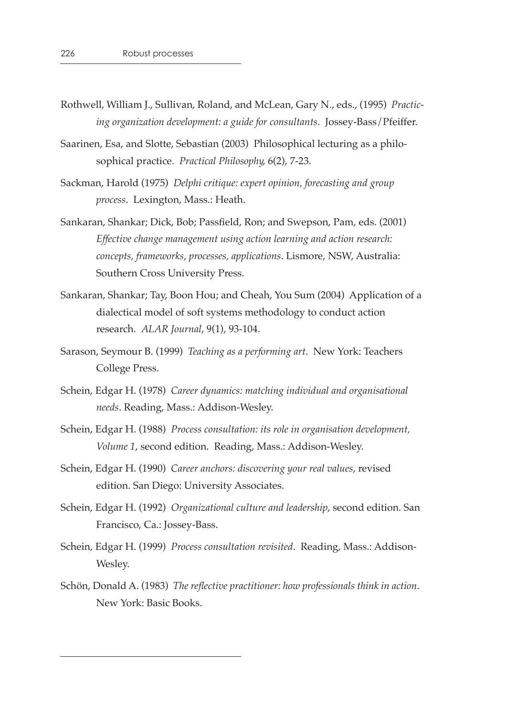- Rothwell, William J., Sullivan, Roland, and McLean, Gary N., eds., (1995) *Practicing organization development: a guide for consultants*. Jossey-Bass/Pfeiffer.
- Saarinen, Esa, and Slotte, Sebastian (2003) Philosophical lecturing as a philosophical practice. *Practical Philosophy*, 6(2), 7-23.
- Sackman, Harold (1975) *Delphi critique: expert opinion, forecasting and group process*. Lexington, Mass.: Heath.
- Sankaran, Shankar; Dick, Bob; Passfield, Ron; and Swepson, Pam, eds. (2001) *Effective change management using action learning and action research: concepts, frameworks, processes, applications*. Lismore, NSW, Australia: Southern Cross University Press.
- Sankaran, Shankar; Tay, Boon Hou; and Cheah, You Sum (2004) Application of a dialectical model of soft systems methodology to conduct action research. *ALAR Journal*, 9(1), 93-104.
- Sarason, Seymour B. (1999) *Teaching as a performing art*. New York: Teachers College Press.
- Schein, Edgar H. (1978) *Career dynamics: matching individual and organisational needs*. Reading, Mass.: Addison-Wesley.
- Schein, Edgar H. (1988) *Process consultation: its role in organisation development, Volume 1*, second edition. Reading, Mass.: Addison-Wesley.
- Schein, Edgar H. (1990) *Career anchors: discovering your real values*, revised edition. San Diego: University Associates.
- Schein, Edgar H. (1992) *Organizational culture and leadership*, second edition. San Francisco, Ca.: Jossey-Bass.
- Schein, Edgar H. (1999) *Process consultation revisited*. Reading, Mass.: Addison-Wesley.
- Schön, Donald A. (1983) *The reflective practitioner: how professionals think in action.* New York: Basic Books.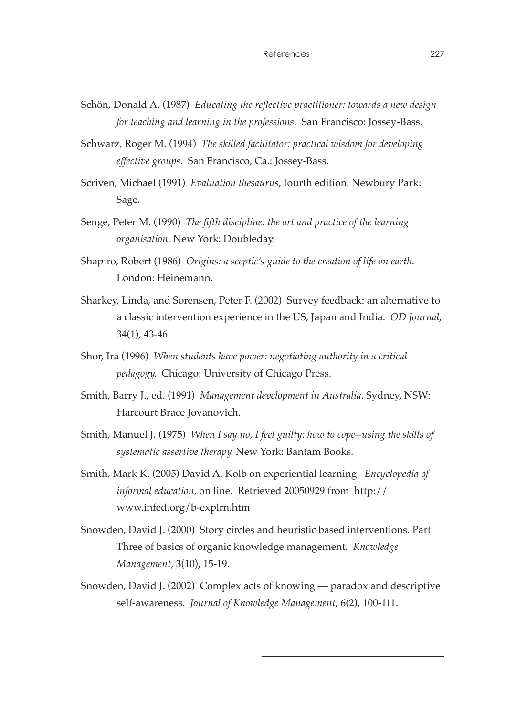- Schön, Donald A. (1987) *Educating the reflective practitioner: towards a new design for teaching and learning in the professions*. San Francisco: Jossey-Bass.
- Schwarz, Roger M. (1994) *The skilled facilitator: practical wisdom for developing effective groups*. San Francisco, Ca.: Jossey-Bass.
- Scriven, Michael (1991) *Evaluation thesaurus*, fourth edition. Newbury Park: Sage.
- Senge, Peter M. (1990) *The fth discipline: the art and practice of the learning organisation*. New York: Doubleday.
- Shapiro, Robert (1986) *Origins: a sceptic's guide to the creation of life on earth*. London: Heinemann.
- Sharkey, Linda, and Sorensen, Peter F. (2002) Survey feedback: an alternative to a classic intervention experience in the US, Japan and India. *OD Journal*, 34(1), 43-46.
- Shor, Ira (1996) *When students have power: negotiating authority in a critical pedagogy*. Chicago: University of Chicago Press.
- Smith, Barry J., ed. (1991) *Management development in Australia*. Sydney, NSW: Harcourt Brace Jovanovich.
- Smith, Manuel J. (1975) *When I say no, I feel guilty: how to cope--using the skills of systematic assertive therapy*. New York: Bantam Books.
- Smith, Mark K. (2005) David A. Kolb on experiential learning. *Encyclopedia of informal education*, on line. Retrieved 20050929 from http:// www.infed.org/b-explrn.htm
- Snowden, David J. (2000) Story circles and heuristic based interventions. Part Three of basics of organic knowledge management. *Knowledge Management*, 3(10), 15-19.
- Snowden, David J. (2002) Complex acts of knowing paradox and descriptive self-awareness. *Journal of Knowledge Management*, 6(2), 100-111.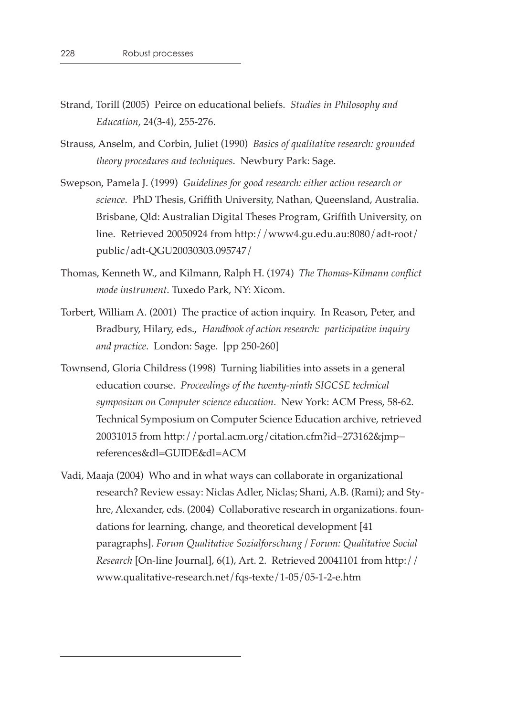- Strand, Torill (2005) Peirce on educational beliefs. *Studies in Philosophy and Education*, 24(3-4), 255-276.
- Strauss, Anselm, and Corbin, Juliet (1990) *Basics of qualitative research: grounded theory procedures and techniques*. Newbury Park: Sage.
- Swepson, Pamela J. (1999) *Guidelines for good research: either action research or science*. PhD Thesis, Grifth University, Nathan, Queensland, Australia. Brisbane, Qld: Australian Digital Theses Program, Grifth University, on line. Retrieved 20050924 from http://www4.gu.edu.au:8080/adt-root/ public/adt-QGU20030303.095747/
- Thomas, Kenneth W., and Kilmann, Ralph H. (1974) *The Thomas-Kilmann conict mode instrument*. Tuxedo Park, NY: Xicom.
- Torbert, William A. (2001) The practice of action inquiry. In Reason, Peter, and Bradbury, Hilary, eds., *Handbook of action research: participative inquiry and practice*. London: Sage. [pp 250-260]
- Townsend, Gloria Childress (1998) Turning liabilities into assets in a general education course. *Proceedings of the twenty-ninth SIGCSE technical symposium on Computer science education*. New York: ACM Press, 58-62. Technical Symposium on Computer Science Education archive, retrieved 20031015 from http://portal.acm.org/citation.cfm?id=273162&jmp= references&dl=GUIDE&dl=ACM
- Vadi, Maaja (2004) Who and in what ways can collaborate in organizational research? Review essay: Niclas Adler, Niclas; Shani, A.B. (Rami); and Styhre, Alexander, eds. (2004) Collaborative research in organizations. foundations for learning, change, and theoretical development [41 paragraphs]. *Forum Qualitative Sozialforschung / Forum: Qualitative Social Research* [On-line Journal], 6(1), Art. 2. Retrieved 20041101 from http:// www.qualitative-research.net/fqs-texte/1-05/05-1-2-e.htm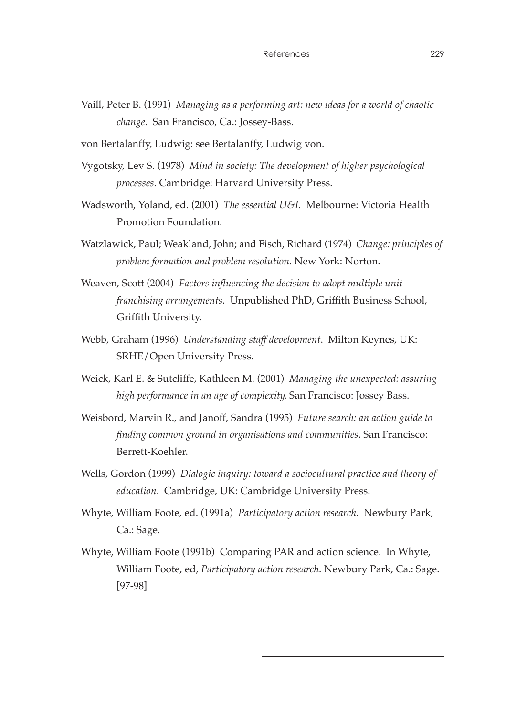- Vaill, Peter B. (1991) *Managing as a performing art: new ideas for a world of chaotic change*. San Francisco, Ca.: Jossey-Bass.
- von Bertalanffy, Ludwig: see Bertalanffy, Ludwig von.
- Vygotsky, Lev S. (1978) *Mind in society: The development of higher psychological processes*. Cambridge: Harvard University Press.
- Wadsworth, Yoland, ed. (2001) *The essential U&I*. Melbourne: Victoria Health Promotion Foundation.
- Watzlawick, Paul; Weakland, John; and Fisch, Richard (1974) *Change: principles of problem formation and problem resolution*. New York: Norton.
- Weaven, Scott (2004) *Factors influencing the decision to adopt multiple unit franchising arrangements*. Unpublished PhD, Grifth Business School, Griffith University.
- Webb, Graham (1996) *Understanding staff development*. Milton Keynes, UK: SRHE/Open University Press.
- Weick, Karl E. & Sutcliffe, Kathleen M. (2001) *Managing the unexpected: assuring high performance in an age of complexity*. San Francisco: Jossey Bass.
- Weisbord, Marvin R., and Janoff, Sandra (1995) *Future search: an action guide to nding common ground in organisations and communities*. San Francisco: Berrett-Koehler.
- Wells, Gordon (1999) *Dialogic inquiry: toward a sociocultural practice and theory of education*. Cambridge, UK: Cambridge University Press.
- Whyte, William Foote, ed. (1991a) *Participatory action research*. Newbury Park, Ca.: Sage.
- Whyte, William Foote (1991b) Comparing PAR and action science. In Whyte, William Foote, ed, *Participatory action research*. Newbury Park, Ca.: Sage. [97-98]